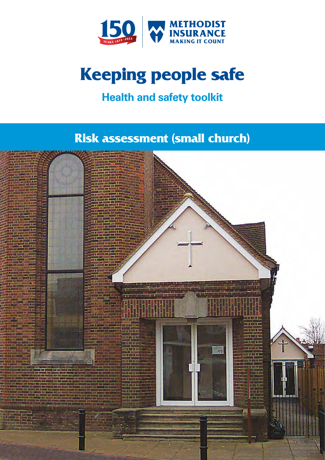

# **Keeping people safe**

# **Health and safety toolkit**

# **Risk assessment (small church)**

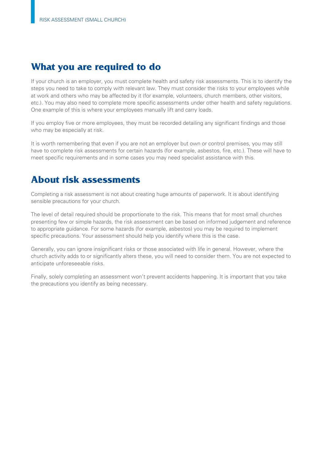# **What you are required to do**

If your church is an employer, you must complete health and safety risk assessments. This is to identify the steps you need to take to comply with relevant law. They must consider the risks to your employees while at work and others who may be affected by it (for example, volunteers, church members, other visitors, etc.). You may also need to complete more specific assessments under other health and safety regulations. One example of this is where your employees manually lift and carry loads.

If you employ five or more employees, they must be recorded detailing any significant findings and those who may be especially at risk.

It is worth remembering that even if you are not an employer but own or control premises, you may still have to complete risk assessments for certain hazards (for example, asbestos, fire, etc.). These will have to meet specific requirements and in some cases you may need specialist assistance with this.

### **About risk assessments**

Completing a risk assessment is not about creating huge amounts of paperwork. It is about identifying sensible precautions for your church.

The level of detail required should be proportionate to the risk. This means that for most small churches presenting few or simple hazards, the risk assessment can be based on informed judgement and reference to appropriate guidance. For some hazards (for example, asbestos) you may be required to implement specific precautions. Your assessment should help you identify where this is the case.

Generally, you can ignore insignificant risks or those associated with life in general. However, where the church activity adds to or significantly alters these, you will need to consider them. You are not expected to anticipate unforeseeable risks.

Finally, solely completing an assessment won't prevent accidents happening. It is important that you take the precautions you identify as being necessary.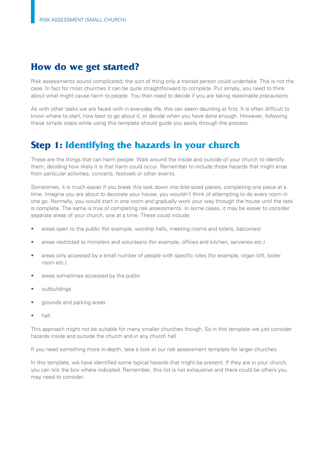# **How do we get started?**

Risk assessments sound complicated; the sort of thing only a trained person could undertake. This is not the case. In fact for most churches it can be quite straightforward to complete. Put simply, you need to think about what might cause harm to people. You then need to decide if you are taking reasonable precautions.

As with other tasks we are faced with in everyday life, this can seem daunting at first. It is often difficult to know where to start, how best to go about it, or decide when you have done enough. However, following these simple steps while using this template should guide you easily through the process.

# **Step 1: Identifying the hazards in your church**

These are the things that can harm people. Walk around the inside and outside of your church to identify them, deciding how likely it is that harm could occur. Remember to include those hazards that might arise from particular activities, concerts, festivals or other events.

Sometimes, it is much easier if you break this task down into bite-sized pieces, completing one piece at a time. Imagine you are about to decorate your house, you wouldn't think of attempting to do every room in one go. Normally, you would start in one room and gradually work your way through the house until the task is complete. The same is true of completing risk assessments. In some cases, it may be easier to consider separate areas of your church, one at a time. These could include:

- areas open to the public (for example, worship halls, meeting rooms and toilets, balconies)
- areas restricted to ministers and volunteers (for example, offices and kitchen, serveries etc.)
- areas only accessed by a small number of people with specific roles (for example, organ loft, boiler room etc.)
- areas sometimes accessed by the public
- outbuildings
- grounds and parking areas
- hall.

This approach might not be suitable for many smaller churches though. So in this template we just consider hazards inside and outside the church and in any church hall.

If you need something more in-depth, take a look at our risk assessment template for larger churches.

In this template, we have identified some typical hazards that might be present. If they are in your church, you can tick the box where indicated. Remember, this list is not exhaustive and there could be others you may need to consider.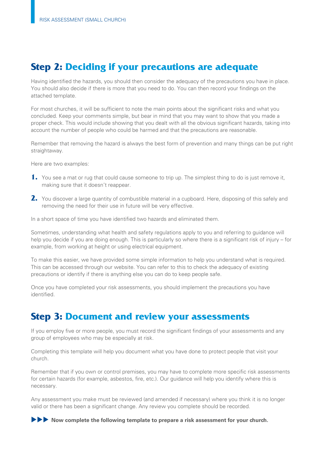# **Step 2: Deciding if your precautions are adequate**

Having identified the hazards, you should then consider the adequacy of the precautions you have in place. You should also decide if there is more that you need to do. You can then record your findings on the attached template.

For most churches, it will be sufficient to note the main points about the significant risks and what you concluded. Keep your comments simple, but bear in mind that you may want to show that you made a proper check. This would include showing that you dealt with all the obvious significant hazards, taking into account the number of people who could be harmed and that the precautions are reasonable.

Remember that removing the hazard is always the best form of prevention and many things can be put right straightaway.

Here are two examples:

- **1.** You see a mat or rug that could cause someone to trip up. The simplest thing to do is just remove it, making sure that it doesn't reappear.
- 2. You discover a large quantity of combustible material in a cupboard. Here, disposing of this safely and removing the need for their use in future will be very effective.

In a short space of time you have identified two hazards and eliminated them.

Sometimes, understanding what health and safety regulations apply to you and referring to guidance will help you decide if you are doing enough. This is particularly so where there is a significant risk of injury – for example, from working at height or using electrical equipment.

To make this easier, we have provided some simple information to help you understand what is required. This can be accessed through our website. You can refer to this to check the adequacy of existing precautions or identify if there is anything else you can do to keep people safe.

Once you have completed your risk assessments, you should implement the precautions you have identified.

### **Step 3: Document and review your assessments**

If you employ five or more people, you must record the significant findings of your assessments and any group of employees who may be especially at risk.

Completing this template will help you document what you have done to protect people that visit your church.

Remember that if you own or control premises, you may have to complete more specific risk assessments for certain hazards (for example, asbestos, fire, etc.). Our guidance will help you identify where this is necessary.

Any assessment you make must be reviewed (and amended if necessary) where you think it is no longer valid or there has been a significant change. Any review you complete should be recorded.

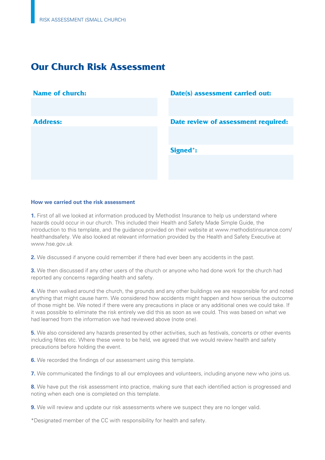# **Our Church Risk Assessment**

| <b>Name of church:</b> | Date(s) assessment carried out:     |
|------------------------|-------------------------------------|
|                        |                                     |
|                        |                                     |
| <b>Address:</b>        | Date review of assessment required: |
|                        |                                     |
|                        |                                     |
|                        | <b>Signed*:</b>                     |
|                        |                                     |
|                        |                                     |
|                        |                                     |
|                        |                                     |

### **How we carried out the risk assessment**

**1.** First of all we looked at information produced by Methodist Insurance to help us understand where hazards could occur in our church. This included their Health and Safety Made Simple Guide, the introduction to this template, and the guidance provided on their website at [www.methodistinsurance.com/](www.methodistinsurance.com) healthandsafety. We also looked at relevant information provided by the Health and Safety Executive at <www.hse.gov.uk>

**2.** We discussed if anyone could remember if there had ever been any accidents in the past.

**3.** We then discussed if any other users of the church or anyone who had done work for the church had reported any concerns regarding health and safety.

**4.** We then walked around the church, the grounds and any other buildings we are responsible for and noted anything that might cause harm. We considered how accidents might happen and how serious the outcome of those might be. We noted if there were any precautions in place or any additional ones we could take. If it was possible to eliminate the risk entirely we did this as soon as we could. This was based on what we had learned from the information we had reviewed above (note one).

**5.** We also considered any hazards presented by other activities, such as festivals, concerts or other events including fêtes etc. Where these were to be held, we agreed that we would review health and safety precautions before holding the event.

**6.** We recorded the findings of our assessment using this template.

**7.** We communicated the findings to all our employees and volunteers, including anyone new who joins us.

**8.** We have put the risk assessment into practice, making sure that each identified action is progressed and noting when each one is completed on this template.

**9.** We will review and update our risk assessments where we suspect they are no longer valid.

\*Designated member of the CC with responsibility for health and safety.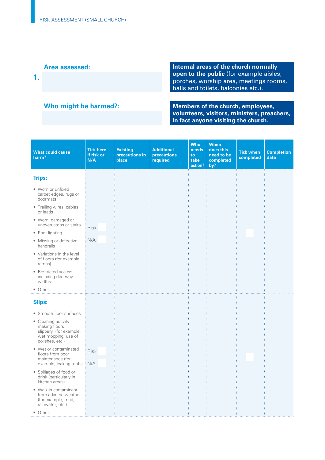**Area assessed:** Internal areas of the church normally areas of the church normally open to the public (for example aisles, **open to the public** (for example aisles, **1. porches, porches, worship area, meetings rooms,** halls and toilets, balconies etc.).

**Who might be harmed?:** Members of the church, employees, **volunteers, visitors, ministers, preachers, in fact anyone visiting the church.** 

| <b>What could cause</b><br>harm?                                                                         | <b>Tick here</b><br>if risk or<br>N/A | <b>Existing</b><br>precautions in<br>place | <b>Additional</b><br>precautions<br>required | <b>Who</b><br>needs<br>to<br>take<br>action? | <b>When</b><br>does this<br>need to be<br>completed<br>by? | <b>Tick when</b><br>completed | <b>Completion</b><br>date |
|----------------------------------------------------------------------------------------------------------|---------------------------------------|--------------------------------------------|----------------------------------------------|----------------------------------------------|------------------------------------------------------------|-------------------------------|---------------------------|
| <b>Trips:</b>                                                                                            |                                       |                                            |                                              |                                              |                                                            |                               |                           |
| • Worn or unfixed<br>carpet edges, rugs or<br>doormats                                                   |                                       |                                            |                                              |                                              |                                                            |                               |                           |
| • Trailing wires, cables<br>or leads                                                                     |                                       |                                            |                                              |                                              |                                                            |                               |                           |
| • Worn, damaged or<br>uneven steps or stairs                                                             | <b>Risk</b>                           |                                            |                                              |                                              |                                                            |                               |                           |
| • Poor lighting                                                                                          |                                       |                                            |                                              |                                              |                                                            |                               |                           |
| • Missing or defective<br>handrails                                                                      | N/A                                   |                                            |                                              |                                              |                                                            |                               |                           |
| • Variations in the level<br>of floors (for example,<br>ramps)                                           |                                       |                                            |                                              |                                              |                                                            |                               |                           |
| • Restricted access<br>including doorway<br>widths                                                       |                                       |                                            |                                              |                                              |                                                            |                               |                           |
| • Other.                                                                                                 |                                       |                                            |                                              |                                              |                                                            |                               |                           |
| <b>Slips:</b>                                                                                            |                                       |                                            |                                              |                                              |                                                            |                               |                           |
| • Smooth floor surfaces                                                                                  |                                       |                                            |                                              |                                              |                                                            |                               |                           |
| • Cleaning activity<br>making floors<br>slippery (for example,<br>wet mopping, use of<br>polishes, etc.) |                                       |                                            |                                              |                                              |                                                            |                               |                           |
| • Wet or contaminated<br>floors from poor                                                                | <b>Risk</b>                           |                                            |                                              |                                              |                                                            |                               |                           |
| maintenance (for<br>example, leaking roofs)                                                              | N/A                                   |                                            |                                              |                                              |                                                            |                               |                           |
| • Spillages of food or<br>drink (particularly in<br>kitchen areas)                                       |                                       |                                            |                                              |                                              |                                                            |                               |                           |
| • Walk-in contaminant<br>from adverse weather<br>(for example, mud,<br>rainwater, etc.)                  |                                       |                                            |                                              |                                              |                                                            |                               |                           |
| • Other.                                                                                                 |                                       |                                            |                                              |                                              |                                                            |                               |                           |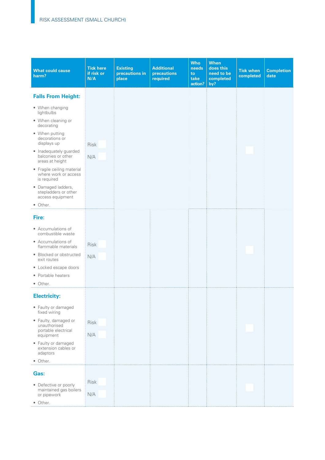| <b>What could cause</b><br>harm?                                  | <b>Tick here</b><br>if risk or<br>N/A | <b>Existing</b><br>precautions in<br>place | <b>Additional</b><br>precautions<br>required | <b>Who</b><br>needs<br>to<br>take<br>action? | When<br>does this<br>need to be<br>completed<br>by? | <b>Tick when</b><br>completed | <b>Completion</b><br>date |
|-------------------------------------------------------------------|---------------------------------------|--------------------------------------------|----------------------------------------------|----------------------------------------------|-----------------------------------------------------|-------------------------------|---------------------------|
| <b>Falls From Height:</b>                                         |                                       |                                            |                                              |                                              |                                                     |                               |                           |
| • When changing<br>lightbulbs                                     |                                       |                                            |                                              |                                              |                                                     |                               |                           |
| • When cleaning or<br>decorating                                  |                                       |                                            |                                              |                                              |                                                     |                               |                           |
| • When putting<br>decorations or<br>displays up                   | <b>Risk</b>                           |                                            |                                              |                                              |                                                     |                               |                           |
| • Inadequately guarded<br>balconies or other<br>areas at height   | N/A                                   |                                            |                                              |                                              |                                                     |                               |                           |
| • Fragile ceiling material<br>where work or access<br>is required |                                       |                                            |                                              |                                              |                                                     |                               |                           |
| · Damaged ladders,<br>stepladders or other<br>access equipment    |                                       |                                            |                                              |                                              |                                                     |                               |                           |
| • Other.                                                          |                                       |                                            |                                              |                                              |                                                     |                               |                           |
| Fire:                                                             |                                       |                                            |                                              |                                              |                                                     |                               |                           |
| • Accumulations of<br>combustible waste                           |                                       |                                            |                                              |                                              |                                                     |                               |                           |
| • Accumulations of<br>flammable materials                         | <b>Risk</b>                           |                                            |                                              |                                              |                                                     |                               |                           |
| • Blocked or obstructed<br>exit routes                            | N/A                                   |                                            |                                              |                                              |                                                     |                               |                           |
| • Locked escape doors                                             |                                       |                                            |                                              |                                              |                                                     |                               |                           |
| • Portable heaters                                                |                                       |                                            |                                              |                                              |                                                     |                               |                           |
| • Other.                                                          |                                       |                                            |                                              |                                              |                                                     |                               |                           |
| <b>Electricity:</b>                                               |                                       |                                            |                                              |                                              |                                                     |                               |                           |
| • Faulty or damaged<br>fixed wiring                               |                                       |                                            |                                              |                                              |                                                     |                               |                           |
| • Faulty, damaged or<br>unauthorised                              | Risk                                  |                                            |                                              |                                              |                                                     |                               |                           |
| portable electrical<br>equipment                                  | N/A                                   |                                            |                                              |                                              |                                                     |                               |                           |
| • Faulty or damaged<br>extension cables or<br>adaptors            |                                       |                                            |                                              |                                              |                                                     |                               |                           |
| • Other.                                                          |                                       |                                            |                                              |                                              |                                                     |                               |                           |
| Gas:                                                              |                                       |                                            |                                              |                                              |                                                     |                               |                           |
| • Defective or poorly                                             | Risk                                  |                                            |                                              |                                              |                                                     |                               |                           |
| maintained gas boilers<br>or pipework                             | N/A                                   |                                            |                                              |                                              |                                                     |                               |                           |
| • Other.                                                          |                                       |                                            |                                              |                                              |                                                     |                               |                           |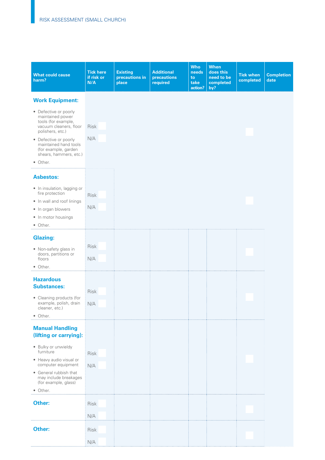| <b>What could cause</b><br>harm?                                                                                                                                                                                               | <b>Tick here</b><br>if risk or<br>N/A | <b>Existing</b><br>precautions in<br>place | <b>Additional</b><br>precautions<br>required | <b>Who</b><br>needs<br>to<br>take<br>action? | <b>When</b><br>does this<br>need to be<br>completed<br>by? | <b>Tick when</b><br>completed | <b>Completion</b><br>date |
|--------------------------------------------------------------------------------------------------------------------------------------------------------------------------------------------------------------------------------|---------------------------------------|--------------------------------------------|----------------------------------------------|----------------------------------------------|------------------------------------------------------------|-------------------------------|---------------------------|
| <b>Work Equipment:</b>                                                                                                                                                                                                         |                                       |                                            |                                              |                                              |                                                            |                               |                           |
| • Defective or poorly<br>maintained power<br>tools (for example,<br>vacuum cleaners, floor<br>polishers, etc.)<br>• Defective or poorly<br>maintained hand tools<br>(for example, garden<br>shears, hammers, etc.)<br>• Other. | Risk<br>N/A                           |                                            |                                              |                                              |                                                            |                               |                           |
| <b>Asbestos:</b><br>• In insulation, lagging or<br>fire protection<br>• In wall and roof linings<br>• In organ blowers<br>• In motor housings<br>• Other.                                                                      | <b>Risk</b><br>N/A                    |                                            |                                              |                                              |                                                            |                               |                           |
| <b>Glazing:</b>                                                                                                                                                                                                                |                                       |                                            |                                              |                                              |                                                            |                               |                           |
| • Non-safety glass in<br>doors, partitions or<br>floors<br>• Other.                                                                                                                                                            | <b>Risk</b><br>N/A                    |                                            |                                              |                                              |                                                            |                               |                           |
| <b>Hazardous</b>                                                                                                                                                                                                               |                                       |                                            |                                              |                                              |                                                            |                               |                           |
| <b>Substances:</b><br>• Cleaning products (for<br>example, polish, drain<br>cleaner, etc.)<br>• Other.                                                                                                                         | <b>Risk</b><br>N/A                    |                                            |                                              |                                              |                                                            |                               |                           |
| <b>Manual Handling</b><br>(lifting or carrying):                                                                                                                                                                               |                                       |                                            |                                              |                                              |                                                            |                               |                           |
| · Bulky or unwieldy<br>furniture                                                                                                                                                                                               | <b>Risk</b>                           |                                            |                                              |                                              |                                                            |                               |                           |
| • Heavy audio visual or<br>computer equipment                                                                                                                                                                                  | N/A                                   |                                            |                                              |                                              |                                                            |                               |                           |
| • General rubbish that<br>may include breakages<br>(for example, glass)                                                                                                                                                        |                                       |                                            |                                              |                                              |                                                            |                               |                           |
| • Other.                                                                                                                                                                                                                       |                                       |                                            |                                              |                                              |                                                            |                               |                           |
| Other:                                                                                                                                                                                                                         | <b>Risk</b><br>N/A                    |                                            |                                              |                                              |                                                            |                               |                           |
| Other:                                                                                                                                                                                                                         | <b>Risk</b>                           |                                            |                                              |                                              |                                                            |                               |                           |
|                                                                                                                                                                                                                                | N/A                                   |                                            |                                              |                                              |                                                            |                               |                           |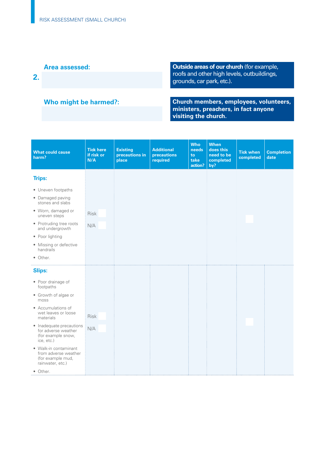### **Area assessed:**

**2.** 

### **Who might be harmed?:**

**Outside areas of our church** (for example, roofs and other high levels, outbuildings, grounds, car park, etc.).

**Church members, employees, volunteers, ministers, preachers, in fact anyone visiting the church.** 

| <b>What could cause</b><br>harm?                                                       | <b>Tick here</b><br>if risk or<br>N/A | <b>Existing</b><br>precautions in<br>place | <b>Additional</b><br>precautions<br>required | <b>Who</b><br>needs<br>to<br>take<br>action? | <b>When</b><br>does this<br>need to be<br>completed<br>by? | <b>Tick when</b><br>completed | <b>Completion</b><br>date |
|----------------------------------------------------------------------------------------|---------------------------------------|--------------------------------------------|----------------------------------------------|----------------------------------------------|------------------------------------------------------------|-------------------------------|---------------------------|
| <b>Trips:</b>                                                                          |                                       |                                            |                                              |                                              |                                                            |                               |                           |
| • Uneven footpaths                                                                     |                                       |                                            |                                              |                                              |                                                            |                               |                           |
| • Damaged paving<br>stones and slabs                                                   |                                       |                                            |                                              |                                              |                                                            |                               |                           |
| • Worn, damaged or<br>uneven steps                                                     | <b>Risk</b>                           |                                            |                                              |                                              |                                                            |                               |                           |
| • Protruding tree roots<br>and undergrowth                                             | N/A                                   |                                            |                                              |                                              |                                                            |                               |                           |
| • Poor lighting                                                                        |                                       |                                            |                                              |                                              |                                                            |                               |                           |
| • Missing or defective<br>handrails                                                    |                                       |                                            |                                              |                                              |                                                            |                               |                           |
| • Other.                                                                               |                                       |                                            |                                              |                                              |                                                            |                               |                           |
| <b>Slips:</b>                                                                          |                                       |                                            |                                              |                                              |                                                            |                               |                           |
| • Poor drainage of<br>footpaths                                                        |                                       |                                            |                                              |                                              |                                                            |                               |                           |
| • Growth of algae or<br>moss                                                           |                                       |                                            |                                              |                                              |                                                            |                               |                           |
| • Accumulations of                                                                     |                                       |                                            |                                              |                                              |                                                            |                               |                           |
| wet leaves or loose<br>materials                                                       | <b>Risk</b>                           |                                            |                                              |                                              |                                                            |                               |                           |
| • Inadequate precautions<br>for adverse weather                                        | N/A                                   |                                            |                                              |                                              |                                                            |                               |                           |
| (for example snow,<br>ice, etc.)                                                       |                                       |                                            |                                              |                                              |                                                            |                               |                           |
| • Walk-in contaminant<br>from adverse weather<br>(for example mud,<br>rainwater, etc.) |                                       |                                            |                                              |                                              |                                                            |                               |                           |
| • Other.                                                                               |                                       |                                            |                                              |                                              |                                                            |                               |                           |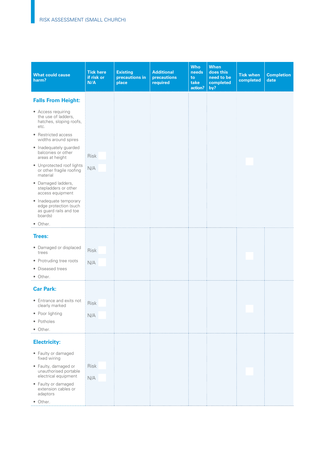| <b>What could cause</b><br>harm?                                                     | <b>Tick here</b><br>if risk or<br>N/A | <b>Existing</b><br>precautions in<br>place | <b>Additional</b><br>precautions<br>required | <b>Who</b><br>needs<br>to<br>take<br>action? | <b>When</b><br>does this<br>need to be<br>completed<br>by? | <b>Tick when</b><br>completed | <b>Completion</b><br>date |
|--------------------------------------------------------------------------------------|---------------------------------------|--------------------------------------------|----------------------------------------------|----------------------------------------------|------------------------------------------------------------|-------------------------------|---------------------------|
| <b>Falls From Height:</b>                                                            |                                       |                                            |                                              |                                              |                                                            |                               |                           |
| • Access requiring<br>the use of ladders,<br>hatches, sloping roofs,<br>etc.         |                                       |                                            |                                              |                                              |                                                            |                               |                           |
| • Restricted access<br>widths around spires                                          |                                       |                                            |                                              |                                              |                                                            |                               |                           |
| • Inadequately guarded<br>balconies or other<br>areas at height                      | <b>Risk</b>                           |                                            |                                              |                                              |                                                            |                               |                           |
| • Unprotected roof lights<br>or other fragile roofing<br>material                    | N/A                                   |                                            |                                              |                                              |                                                            |                               |                           |
| · Damaged ladders,<br>stepladders or other<br>access equipment                       |                                       |                                            |                                              |                                              |                                                            |                               |                           |
| • Inadequate temporary<br>edge protection (such<br>as guard rails and toe<br>boards) |                                       |                                            |                                              |                                              |                                                            |                               |                           |
| • Other.                                                                             |                                       |                                            |                                              |                                              |                                                            |                               |                           |
| <b>Trees:</b>                                                                        |                                       |                                            |                                              |                                              |                                                            |                               |                           |
| • Damaged or displaced<br>trees                                                      | Risk                                  |                                            |                                              |                                              |                                                            |                               |                           |
| • Protruding tree roots                                                              | N/A                                   |                                            |                                              |                                              |                                                            |                               |                           |
| • Diseased trees                                                                     |                                       |                                            |                                              |                                              |                                                            |                               |                           |
| • Other.                                                                             |                                       |                                            |                                              |                                              |                                                            |                               |                           |
| <b>Car Park:</b>                                                                     |                                       |                                            |                                              |                                              |                                                            |                               |                           |
| • Entrance and exits not<br>clearly marked                                           | Risk                                  |                                            |                                              |                                              |                                                            |                               |                           |
| • Poor lighting                                                                      | N/A                                   |                                            |                                              |                                              |                                                            |                               |                           |
| • Potholes                                                                           |                                       |                                            |                                              |                                              |                                                            |                               |                           |
| • Other.                                                                             |                                       |                                            |                                              |                                              |                                                            |                               |                           |
| <b>Electricity:</b>                                                                  |                                       |                                            |                                              |                                              |                                                            |                               |                           |
| • Faulty or damaged<br>fixed wiring                                                  |                                       |                                            |                                              |                                              |                                                            |                               |                           |
| • Faulty, damaged or<br>unauthorised portable                                        | Risk                                  |                                            |                                              |                                              |                                                            |                               |                           |
| electrical equipment                                                                 | N/A                                   |                                            |                                              |                                              |                                                            |                               |                           |
| • Faulty or damaged<br>extension cables or<br>adaptors                               |                                       |                                            |                                              |                                              |                                                            |                               |                           |
| • Other.                                                                             |                                       |                                            |                                              |                                              |                                                            |                               |                           |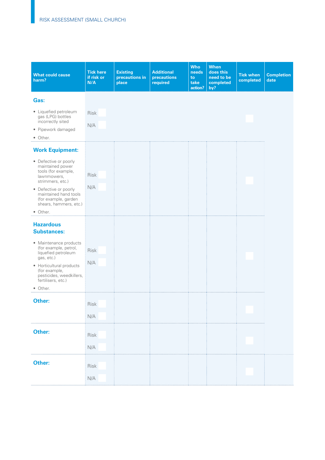| <b>What could cause</b><br>harm?                                                                                                                                                                                                              | <b>Tick here</b><br>if risk or<br>N/A          | <b>Existing</b><br>precautions in<br>place | <b>Additional</b><br>precautions<br>required | <b>Who</b><br>needs<br>to<br>take<br>action? | <b>When</b><br>does this<br>need to be<br>completed<br>by? | <b>Tick when</b><br>completed | <b>Completion</b><br>date |
|-----------------------------------------------------------------------------------------------------------------------------------------------------------------------------------------------------------------------------------------------|------------------------------------------------|--------------------------------------------|----------------------------------------------|----------------------------------------------|------------------------------------------------------------|-------------------------------|---------------------------|
| Gas:<br>• Liquefied petroleum<br>gas (LPG) bottles<br>incorrectly sited<br>· Pipework damaged<br>• Other.                                                                                                                                     | <b>Risk</b><br>N/A                             |                                            |                                              |                                              |                                                            |                               |                           |
| <b>Work Equipment:</b><br>• Defective or poorly<br>maintained power<br>tools (for example,<br>lawnmowers,<br>strimmers, etc.)<br>• Defective or poorly<br>maintained hand tools<br>(for example, garden<br>shears, hammers, etc.)<br>• Other. | Risk<br>N/A                                    |                                            |                                              |                                              |                                                            |                               |                           |
| <b>Hazardous</b><br><b>Substances:</b><br>• Maintenance products<br>(for example, petrol,<br>liquefied petroleum<br>gas, etc.)<br>• Horticultural products<br>(for example,<br>pesticides, weedkillers,<br>fertilisers, etc.)<br>• Other.     | <b>Risk</b><br>N/A                             |                                            |                                              |                                              |                                                            |                               |                           |
| Other:<br>Other:                                                                                                                                                                                                                              | Risk<br>N/A<br>Risk<br>$\mathsf{N}/\mathsf{A}$ |                                            |                                              |                                              |                                                            |                               |                           |
| Other:                                                                                                                                                                                                                                        | Risk<br>N/A                                    |                                            |                                              |                                              |                                                            |                               |                           |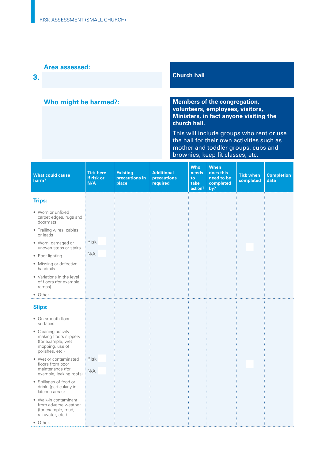### **Area assessed:**

**3.** 

### **Who might be harmed?:**

### **Church hall**

**Members of the congregation, volunteers, employees, visitors, Ministers, in fact anyone visiting the church hall.** 

This will include groups who rent or use the hall for their own activities such as mother and toddler groups, cubs and brownies, keep fit classes, etc.

| <b>What could cause</b><br>harm?                                                                         | <b>Tick here</b><br>if risk or<br>N/A | <b>Existing</b><br>precautions in<br>place | <b>Additional</b><br>precautions<br>required | <b>Who</b><br>needs<br>to<br>take<br>action? | <b>When</b><br>does this<br>need to be<br>completed<br>by? | <b>Tick when</b><br>completed | <b>Completion</b><br>date |
|----------------------------------------------------------------------------------------------------------|---------------------------------------|--------------------------------------------|----------------------------------------------|----------------------------------------------|------------------------------------------------------------|-------------------------------|---------------------------|
| <b>Trips:</b>                                                                                            |                                       |                                            |                                              |                                              |                                                            |                               |                           |
| • Worn or unfixed<br>carpet edges, rugs and<br>doormats                                                  |                                       |                                            |                                              |                                              |                                                            |                               |                           |
| • Trailing wires, cables<br>or leads                                                                     |                                       |                                            |                                              |                                              |                                                            |                               |                           |
| · Worn, damaged or<br>uneven steps or stairs                                                             | <b>Risk</b>                           |                                            |                                              |                                              |                                                            |                               |                           |
| • Poor lighting                                                                                          | N/A                                   |                                            |                                              |                                              |                                                            |                               |                           |
| • Missing or defective<br>handrails                                                                      |                                       |                                            |                                              |                                              |                                                            |                               |                           |
| • Variations in the level<br>of floors (for example,<br>ramps)                                           |                                       |                                            |                                              |                                              |                                                            |                               |                           |
| • Other.                                                                                                 |                                       |                                            |                                              |                                              |                                                            |                               |                           |
| <b>Slips:</b>                                                                                            |                                       |                                            |                                              |                                              |                                                            |                               |                           |
| • On smooth floor<br>surfaces                                                                            |                                       |                                            |                                              |                                              |                                                            |                               |                           |
| • Cleaning activity<br>making floors slippery<br>(for example, wet<br>mopping, use of<br>polishes, etc.) |                                       |                                            |                                              |                                              |                                                            |                               |                           |
| • Wet or contaminated<br>floors from poor                                                                | <b>Risk</b>                           |                                            |                                              |                                              |                                                            |                               |                           |
| maintenance (for<br>example, leaking roofs)                                                              | N/A                                   |                                            |                                              |                                              |                                                            |                               |                           |
| • Spillages of food or<br>drink (particularly in<br>kitchen areas)                                       |                                       |                                            |                                              |                                              |                                                            |                               |                           |
| • Walk-in contaminant<br>from adverse weather<br>(for example, mud,<br>rainwater, etc.)                  |                                       |                                            |                                              |                                              |                                                            |                               |                           |
| • Other.                                                                                                 |                                       |                                            |                                              |                                              |                                                            |                               |                           |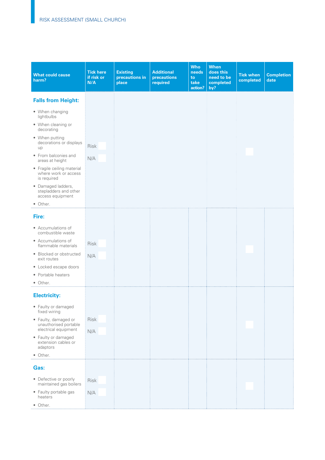| <b>What could cause</b><br>harm?                                  | <b>Tick here</b><br>if risk or<br>N/A | <b>Existing</b><br>precautions in<br>place | <b>Additional</b><br>precautions<br>required | <b>Who</b><br>needs<br>to<br>take<br>action? | <b>When</b><br>does this<br>need to be<br>completed<br>by? | <b>Tick when</b><br>completed | <b>Completion</b><br>date |
|-------------------------------------------------------------------|---------------------------------------|--------------------------------------------|----------------------------------------------|----------------------------------------------|------------------------------------------------------------|-------------------------------|---------------------------|
| <b>Falls from Height:</b>                                         |                                       |                                            |                                              |                                              |                                                            |                               |                           |
| • When changing<br>lightbulbs                                     |                                       |                                            |                                              |                                              |                                                            |                               |                           |
| • When cleaning or<br>decorating                                  |                                       |                                            |                                              |                                              |                                                            |                               |                           |
| • When putting<br>decorations or displays<br>up                   | <b>Risk</b>                           |                                            |                                              |                                              |                                                            |                               |                           |
| • From balconies and<br>areas at height                           | N/A                                   |                                            |                                              |                                              |                                                            |                               |                           |
| • Fragile ceiling material<br>where work or access<br>is required |                                       |                                            |                                              |                                              |                                                            |                               |                           |
| · Damaged ladders,<br>stepladders and other<br>access equipment   |                                       |                                            |                                              |                                              |                                                            |                               |                           |
| • Other.                                                          |                                       |                                            |                                              |                                              |                                                            |                               |                           |
| Fire:                                                             |                                       |                                            |                                              |                                              |                                                            |                               |                           |
| • Accumulations of<br>combustible waste                           |                                       |                                            |                                              |                                              |                                                            |                               |                           |
| • Accumulations of<br>flammable materials                         | Risk                                  |                                            |                                              |                                              |                                                            |                               |                           |
| • Blocked or obstructed<br>exit routes                            | N/A                                   |                                            |                                              |                                              |                                                            |                               |                           |
| • Locked escape doors                                             |                                       |                                            |                                              |                                              |                                                            |                               |                           |
| • Portable heaters<br>• Other.                                    |                                       |                                            |                                              |                                              |                                                            |                               |                           |
|                                                                   |                                       |                                            |                                              |                                              |                                                            |                               |                           |
| <b>Electricity:</b>                                               |                                       |                                            |                                              |                                              |                                                            |                               |                           |
| • Faulty or damaged<br>fixed wiring                               |                                       |                                            |                                              |                                              |                                                            |                               |                           |
| • Faulty, damaged or<br>unauthorised portable                     | Risk                                  |                                            |                                              |                                              |                                                            |                               |                           |
| electrical equipment<br>• Faulty or damaged                       | N/A                                   |                                            |                                              |                                              |                                                            |                               |                           |
| extension cables or<br>adaptors                                   |                                       |                                            |                                              |                                              |                                                            |                               |                           |
| • Other.                                                          |                                       |                                            |                                              |                                              |                                                            |                               |                           |
| Gas:                                                              |                                       |                                            |                                              |                                              |                                                            |                               |                           |
| • Defective or poorly<br>maintained gas boilers                   | Risk                                  |                                            |                                              |                                              |                                                            |                               |                           |
| • Faulty portable gas<br>heaters                                  | N/A                                   |                                            |                                              |                                              |                                                            |                               |                           |
| • Other.                                                          |                                       |                                            |                                              |                                              |                                                            |                               |                           |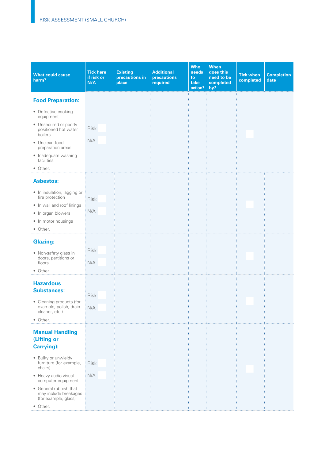| <b>What could cause</b><br>harm?                                                                                           | <b>Tick here</b><br>if risk or<br>N/A | <b>Existing</b><br>precautions in<br>place | <b>Additional</b><br>precautions<br>required | <b>Who</b><br>needs<br>to<br>take<br>action? | <b>When</b><br>does this<br>need to be<br>completed<br>by? | <b>Tick when</b><br>completed | <b>Completion</b><br>date |
|----------------------------------------------------------------------------------------------------------------------------|---------------------------------------|--------------------------------------------|----------------------------------------------|----------------------------------------------|------------------------------------------------------------|-------------------------------|---------------------------|
| <b>Food Preparation:</b>                                                                                                   |                                       |                                            |                                              |                                              |                                                            |                               |                           |
| • Defective cooking<br>equipment<br>• Unsecured or poorly                                                                  | <b>Risk</b>                           |                                            |                                              |                                              |                                                            |                               |                           |
| positioned hot water<br>boilers                                                                                            | N/A                                   |                                            |                                              |                                              |                                                            |                               |                           |
| • Unclean food<br>preparation areas                                                                                        |                                       |                                            |                                              |                                              |                                                            |                               |                           |
| • Inadequate washing<br>facilities                                                                                         |                                       |                                            |                                              |                                              |                                                            |                               |                           |
| • Other.                                                                                                                   |                                       |                                            |                                              |                                              |                                                            |                               |                           |
| <b>Asbestos:</b>                                                                                                           |                                       |                                            |                                              |                                              |                                                            |                               |                           |
| • In insulation, lagging or<br>fire protection                                                                             | Risk                                  |                                            |                                              |                                              |                                                            |                               |                           |
| • In wall and roof linings                                                                                                 | N/A                                   |                                            |                                              |                                              |                                                            |                               |                           |
| • In organ blowers<br>• In motor housings                                                                                  |                                       |                                            |                                              |                                              |                                                            |                               |                           |
| • Other.                                                                                                                   |                                       |                                            |                                              |                                              |                                                            |                               |                           |
| <b>Glazing:</b>                                                                                                            |                                       |                                            |                                              |                                              |                                                            |                               |                           |
| • Non-safety glass in<br>doors, partitions or                                                                              | Risk                                  |                                            |                                              |                                              |                                                            |                               |                           |
| floors<br>• Other.                                                                                                         | N/A                                   |                                            |                                              |                                              |                                                            |                               |                           |
| <b>Hazardous</b><br><b>Substances:</b><br>• Cleaning products (for<br>example, polish, drain<br>cleaner, etc.)<br>• Other. | <b>Risk</b><br>N/A                    |                                            |                                              |                                              |                                                            |                               |                           |
| <b>Manual Handling</b><br>(Lifting or<br><b>Carrying</b> ):                                                                |                                       |                                            |                                              |                                              |                                                            |                               |                           |
| · Bulky or unwieldy<br>furniture (for example,<br>chairs)                                                                  | Risk                                  |                                            |                                              |                                              |                                                            |                               |                           |
| • Heavy audio-visual<br>computer equipment                                                                                 | N/A                                   |                                            |                                              |                                              |                                                            |                               |                           |
| • General rubbish that<br>may include breakages<br>(for example, glass)                                                    |                                       |                                            |                                              |                                              |                                                            |                               |                           |
| • Other.                                                                                                                   |                                       |                                            |                                              |                                              |                                                            |                               |                           |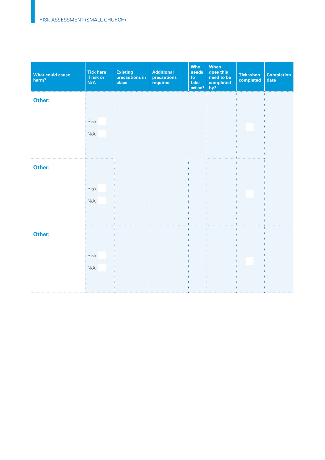| <b>What could cause</b><br>harm? | <b>Tick here</b><br>if risk or<br>N/A | <b>Existing</b><br>precautions in<br>place | <b>Additional</b><br>precautions<br>required | <b>Who</b><br>needs<br>to<br>take<br>action? | <b>When</b><br>does this<br>need to be<br>completed<br>by? | <b>Tick when</b><br>completed | <b>Completion</b><br>date |
|----------------------------------|---------------------------------------|--------------------------------------------|----------------------------------------------|----------------------------------------------|------------------------------------------------------------|-------------------------------|---------------------------|
| Other:                           |                                       |                                            |                                              |                                              |                                                            |                               |                           |
|                                  | Risk<br>N/A                           |                                            |                                              |                                              |                                                            |                               |                           |
| Other:                           |                                       |                                            |                                              |                                              |                                                            |                               |                           |
|                                  | Risk<br>$\mathsf{N}/\mathsf{A}$       |                                            |                                              |                                              |                                                            |                               |                           |
| Other:                           |                                       |                                            |                                              |                                              |                                                            |                               |                           |
|                                  | Risk<br>N/A                           |                                            |                                              |                                              |                                                            |                               |                           |
|                                  |                                       |                                            |                                              |                                              |                                                            |                               |                           |